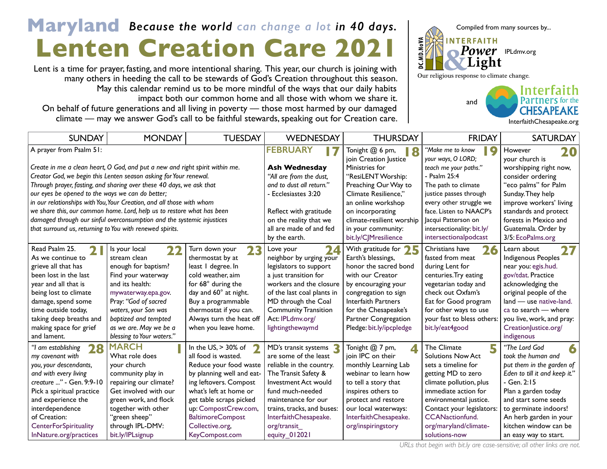## **Lenten Creation Care 2021** Maryland Because the world can change a lot in 40 days. Compiled from many sources by...

Lent is a time for prayer, fasting, and more intentional sharing. This year, our church is joining with many others in heeding the call to be stewards of God's Creation throughout this season. May this calendar remind us to be more mindful of the ways that our daily habits impact both our common home and all those with whom we share it. On behalf of future generations and all living in poverty — those most harmed by our damaged climate — may we answer God's call to be faithful stewards, speaking out for Creation care.



[InterfaithChesapeake.org](http://InterfaithChesapeake.org)

| <b>SUNDAY</b>                                                          | <b>MONDAY</b>                                                                | <b>TUESDAY</b>            | WEDNESDAY                   | <b>THURSDAY</b>                                | <b>FRIDAY</b>                               | <b>SATURDAY</b>                 |
|------------------------------------------------------------------------|------------------------------------------------------------------------------|---------------------------|-----------------------------|------------------------------------------------|---------------------------------------------|---------------------------------|
| A prayer from Psalm 51:                                                |                                                                              |                           | <b>FEBRUARY</b>             | Tonight @ 6 pm,<br>18<br>join Creation Justice | "Make me to know<br>Q<br>your ways, O LORD; | However<br>20<br>your church is |
|                                                                        | Create in me a clean heart, O God, and put a new and right spirit within me. |                           | <b>Ash Wednesday</b>        | Ministries for                                 | teach me your paths."                       | worshipping right now,          |
| Creator God, we begin this Lenten season asking for Your renewal.      |                                                                              |                           | "All are from the dust,     | "ResiLENT Worship:                             | - Psalm 25:4                                | consider ordering               |
| Through prayer, fasting, and sharing over these 40 days, we ask that   |                                                                              |                           | and to dust all return."    | Preaching Our Way to                           | The path to climate                         | "eco palms" for Palm            |
| our eyes be opened to the ways we can do better;                       |                                                                              |                           | - Ecclesiastes 3:20         | Climate Resilience."                           | justice passes through                      | Sunday. They help               |
| in our relationships with You, Your Creation, and all those with whom  |                                                                              |                           |                             | an online workshop                             | every other struggle we                     | improve workers' living         |
| we share this, our common home. Lord, help us to restore what has been |                                                                              |                           | Reflect with gratitude      | on incorporating                               | face. Listen to NAACP's                     | standards and protect           |
| damaged through our sinful overconsumption and the systemic injustices |                                                                              |                           | on the reality that we      | climate-resilient worship                      | Jacqui Patterson on                         | forests in Mexico and           |
| that surround us, returning to You with renewed spirits.               |                                                                              |                           | all are made of and fed     | in your community:                             | intersectionality: bit.ly/                  | Guatemala. Order by             |
|                                                                        |                                                                              |                           | by the earth.               | bit.ly/CJMresilience                           | intersectionalpodcast                       | 3/5: EcoPalms.org               |
| Read Psalm 25.                                                         | Is your local<br>22                                                          | Turn down your<br>23      | 2 <sub>4</sub><br>Love your | With gratitude for $25$                        | Christians have<br>26                       | 27<br>Learn about               |
| As we continue to                                                      | stream clean                                                                 | thermostat by at          | neighbor by urging your     | Earth's blessings,                             | fasted from meat                            | Indigenous Peoples              |
| grieve all that has                                                    | enough for baptism?                                                          | least I degree. In        | legislators to support      | honor the sacred bond                          | during Lent for                             | near you: egis.hud.             |
| been lost in the last                                                  | Find your waterway                                                           | cold weather, aim         | a just transition for       | with our Creator                               | centuries. Try eating                       | gov/tdat. Practice              |
| year and all that is                                                   | and its health:                                                              | for 68° during the        | workers and the closure     | by encouraging your                            | vegetarian today and                        | acknowledging the               |
| being lost to climate                                                  | mywaterway.epa.gov.                                                          | day and 60° at night.     | of the last coal plants in  | congregation to sign                           | check out Oxfam's                           | original people of the          |
| damage, spend some                                                     | Pray: "God of sacred                                                         | Buy a programmable        | MD through the Coal         | Interfaith Partners                            | Eat for Good program                        | land - use native-land.         |
| time outside today,                                                    | waters, your Son was                                                         | thermostat if you can.    | <b>Community Transition</b> | for the Chesapeake's                           | for other ways to use                       | ca to search - where            |
| taking deep breaths and                                                | baptized and tempted                                                         | Always turn the heat off  | Act: IPLdmv.org/            | Partner Congregation                           | your fast to bless others:                  | you live, work, and pray:       |
| making space for grief                                                 | as we are. May we be a                                                       | when you leave home.      | lightingthewaymd            | Pledge: bit.ly/ipcpledge                       | bit.ly/eat4good                             | Creation ustice.org/            |
| and lament.                                                            | blessing to Your waters."                                                    |                           |                             |                                                |                                             | indigenous                      |
| 28<br>"I am establishing                                               | <b>MARCH</b>                                                                 | In the $US$ , $> 30\%$ of | MD's transit systems        | Tonight @ 7 pm,<br>$\blacktriangle$            | 5<br>The Climate                            | "The Lord God<br>6              |
| my covenant with                                                       | What role does                                                               | all food is wasted.       | are some of the least       | join IPC on their                              | <b>Solutions Now Act</b>                    | took the human and              |
| you, your descendants,                                                 | your church                                                                  | Reduce your food waste    | reliable in the country.    | monthly Learning Lab                           | sets a timeline for                         | put them in the garden of       |
| and with every living                                                  | community play in                                                            | by planning well and eat- | The Transit Safety &        | webinar to learn how                           | getting MD to zero                          | Eden to till it and keep it."   |
| creature " - Gen. 9:9-10                                               | repairing our climate?                                                       | ing leftovers. Compost    | Investment Act would        | to tell a story that                           | climate pollution, plus                     | - Gen. 2:15                     |
| Pick a spiritual practice                                              | Get involved with our                                                        | what's left at home or    | fund much-needed            | inspires others to                             | immediate action for                        | Plan a garden today             |
| and experience the                                                     | green work, and flock                                                        | get table scraps picked   | maintenance for our         | protect and restore                            | environmental justice.                      | and start some seeds            |
| interdependence                                                        | together with other                                                          | up: CompostCrew.com,      | trains, tracks, and buses:  | our local waterways:                           | Contact your legislators:                   | to germinate indoors!           |
| of Creation:                                                           | "green sheep"                                                                | <b>BaltimoreCompost</b>   | InterfaithChesapeake.       | InterfaithChesapeake.                          | <b>CCANactionfund.</b>                      | An herb garden in your          |
| <b>CenterForSpirituality</b>                                           | through IPL-DMV:                                                             | Collective.org            | org/transit                 | org/inspiringstory                             | org/maryland/climate-                       | kitchen window can be           |
| InNature.org/practices                                                 | bit.ly/IPLsignup                                                             | KeyCompost.com            | equity_012021               |                                                | solutions-now                               | an easy way to start.           |

*URLs that begin with bit.ly are case-sensitive; all other links are not.*